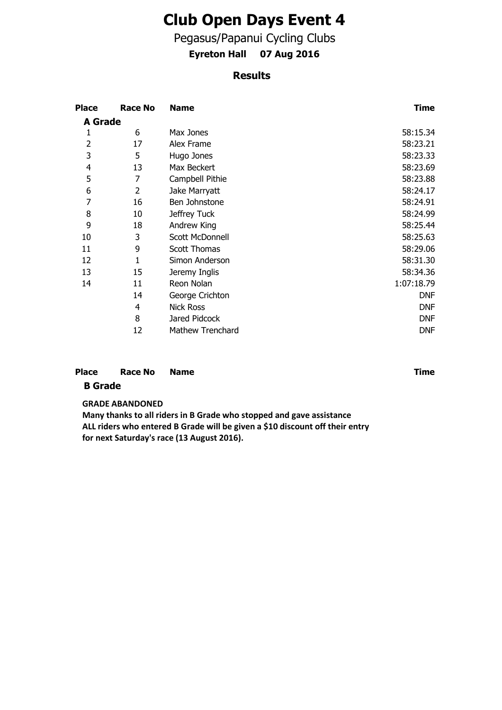# **Club Open Days Event 4**

Pegasus/Papanui Cycling Clubs

**Eyreton Hall 07 Aug 2016**

## **Results**

| <b>Place</b>   | <b>Race No</b> | <b>Name</b>             | <b>Time</b> |
|----------------|----------------|-------------------------|-------------|
| <b>A</b> Grade |                |                         |             |
| 1              | 6              | Max Jones               | 58:15.34    |
| 2              | 17             | Alex Frame              | 58:23.21    |
| 3              | 5              | Hugo Jones              | 58:23.33    |
| 4              | 13             | Max Beckert             | 58:23.69    |
| 5              | 7              | Campbell Pithie         | 58:23.88    |
| 6              | 2              | Jake Marryatt           | 58:24.17    |
| 7              | 16             | Ben Johnstone           | 58:24.91    |
| 8              | 10             | Jeffrey Tuck            | 58:24.99    |
| 9              | 18             | Andrew King             | 58:25.44    |
| 10             | 3              | Scott McDonnell         | 58:25.63    |
| 11             | 9              | <b>Scott Thomas</b>     | 58:29.06    |
| 12             | 1              | Simon Anderson          | 58:31.30    |
| 13             | 15             | Jeremy Inglis           | 58:34.36    |
| 14             | 11             | Reon Nolan              | 1:07:18.79  |
|                | 14             | George Crichton         | <b>DNF</b>  |
|                | 4              | <b>Nick Ross</b>        | <b>DNF</b>  |
|                | 8              | Jared Pidcock           | <b>DNF</b>  |
|                | 12             | <b>Mathew Trenchard</b> | <b>DNF</b>  |

#### **Race No B Grade Place Race No. Name Time Time**

### **GRADE ABANDONED**

**Many thanks to all riders in B Grade who stopped and gave assistance ALL riders who entered B Grade will be given a \$10 discount off their entry for next Saturday's race (13 August 2016).**